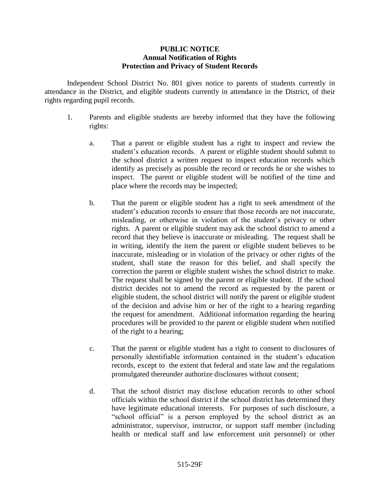## **PUBLIC NOTICE Annual Notification of Rights Protection and Privacy of Student Records**

Independent School District No. 801 gives notice to parents of students currently in attendance in the District, and eligible students currently in attendance in the District, of their rights regarding pupil records.

- 1. Parents and eligible students are hereby informed that they have the following rights:
	- a. That a parent or eligible student has a right to inspect and review the student's education records. A parent or eligible student should submit to the school district a written request to inspect education records which identify as precisely as possible the record or records he or she wishes to inspect. The parent or eligible student will be notified of the time and place where the records may be inspected;
	- b. That the parent or eligible student has a right to seek amendment of the student's education records to ensure that those records are not inaccurate, misleading, or otherwise in violation of the student's privacy or other rights. A parent or eligible student may ask the school district to amend a record that they believe is inaccurate or misleading. The request shall be in writing, identify the item the parent or eligible student believes to be inaccurate, misleading or in violation of the privacy or other rights of the student, shall state the reason for this belief, and shall specify the correction the parent or eligible student wishes the school district to make. The request shall be signed by the parent or eligible student. If the school district decides not to amend the record as requested by the parent or eligible student, the school district will notify the parent or eligible student of the decision and advise him or her of the right to a hearing regarding the request for amendment. Additional information regarding the hearing procedures will be provided to the parent or eligible student when notified of the right to a hearing;
	- c. That the parent or eligible student has a right to consent to disclosures of personally identifiable information contained in the student's education records, except to the extent that federal and state law and the regulations promulgated thereunder authorize disclosures without consent;
	- d. That the school district may disclose education records to other school officials within the school district if the school district has determined they have legitimate educational interests. For purposes of such disclosure, a "school official" is a person employed by the school district as an administrator, supervisor, instructor, or support staff member (including health or medical staff and law enforcement unit personnel) or other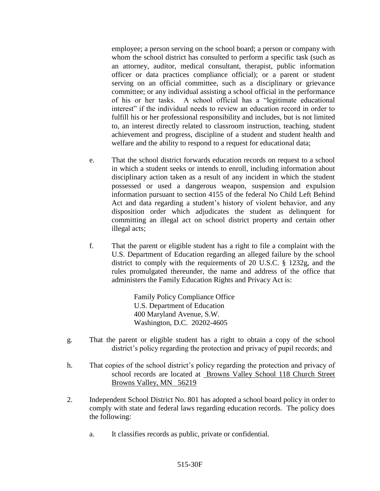employee; a person serving on the school board; a person or company with whom the school district has consulted to perform a specific task (such as an attorney, auditor, medical consultant, therapist, public information officer or data practices compliance official); or a parent or student serving on an official committee, such as a disciplinary or grievance committee; or any individual assisting a school official in the performance of his or her tasks. A school official has a "legitimate educational interest" if the individual needs to review an education record in order to fulfill his or her professional responsibility and includes, but is not limited to, an interest directly related to classroom instruction, teaching, student achievement and progress, discipline of a student and student health and welfare and the ability to respond to a request for educational data;

- e. That the school district forwards education records on request to a school in which a student seeks or intends to enroll, including information about disciplinary action taken as a result of any incident in which the student possessed or used a dangerous weapon, suspension and expulsion information pursuant to section 4155 of the federal No Child Left Behind Act and data regarding a student's history of violent behavior, and any disposition order which adjudicates the student as delinquent for committing an illegal act on school district property and certain other illegal acts;
- f. That the parent or eligible student has a right to file a complaint with the U.S. Department of Education regarding an alleged failure by the school district to comply with the requirements of 20 U.S.C. § 1232g, and the rules promulgated thereunder, the name and address of the office that administers the Family Education Rights and Privacy Act is:

Family Policy Compliance Office U.S. Department of Education 400 Maryland Avenue, S.W. Washington, D.C. 20202-4605

- g. That the parent or eligible student has a right to obtain a copy of the school district's policy regarding the protection and privacy of pupil records; and
- h. That copies of the school district's policy regarding the protection and privacy of school records are located at Browns Valley School 118 Church Street Browns Valley, MN 56219
- 2. Independent School District No. 801 has adopted a school board policy in order to comply with state and federal laws regarding education records. The policy does the following:
	- a. It classifies records as public, private or confidential.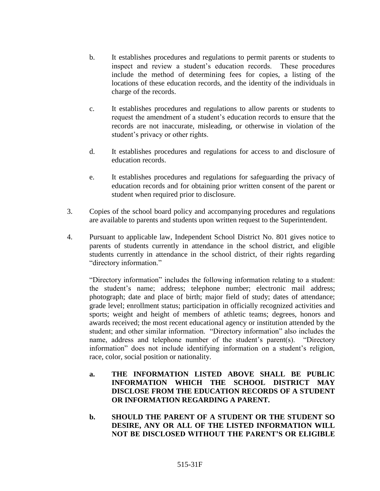- b. It establishes procedures and regulations to permit parents or students to inspect and review a student's education records. These procedures include the method of determining fees for copies, a listing of the locations of these education records, and the identity of the individuals in charge of the records.
- c. It establishes procedures and regulations to allow parents or students to request the amendment of a student's education records to ensure that the records are not inaccurate, misleading, or otherwise in violation of the student's privacy or other rights.
- d. It establishes procedures and regulations for access to and disclosure of education records.
- e. It establishes procedures and regulations for safeguarding the privacy of education records and for obtaining prior written consent of the parent or student when required prior to disclosure.
- 3. Copies of the school board policy and accompanying procedures and regulations are available to parents and students upon written request to the Superintendent.
- 4. Pursuant to applicable law, Independent School District No. 801 gives notice to parents of students currently in attendance in the school district, and eligible students currently in attendance in the school district, of their rights regarding "directory information."

"Directory information" includes the following information relating to a student: the student's name; address; telephone number; electronic mail address; photograph; date and place of birth; major field of study; dates of attendance; grade level; enrollment status; participation in officially recognized activities and sports; weight and height of members of athletic teams; degrees, honors and awards received; the most recent educational agency or institution attended by the student; and other similar information. "Directory information" also includes the name, address and telephone number of the student's parent(s). "Directory information" does not include identifying information on a student's religion, race, color, social position or nationality.

- **a. THE INFORMATION LISTED ABOVE SHALL BE PUBLIC INFORMATION WHICH THE SCHOOL DISTRICT MAY DISCLOSE FROM THE EDUCATION RECORDS OF A STUDENT OR INFORMATION REGARDING A PARENT.**
- **b. SHOULD THE PARENT OF A STUDENT OR THE STUDENT SO DESIRE, ANY OR ALL OF THE LISTED INFORMATION WILL NOT BE DISCLOSED WITHOUT THE PARENT'S OR ELIGIBLE**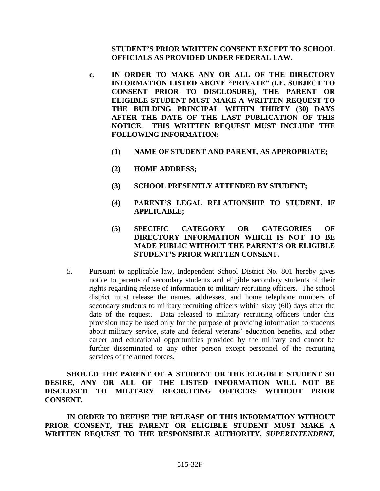## **STUDENT'S PRIOR WRITTEN CONSENT EXCEPT TO SCHOOL OFFICIALS AS PROVIDED UNDER FEDERAL LAW.**

- **c. IN ORDER TO MAKE ANY OR ALL OF THE DIRECTORY INFORMATION LISTED ABOVE "PRIVATE" (I.E. SUBJECT TO CONSENT PRIOR TO DISCLOSURE), THE PARENT OR ELIGIBLE STUDENT MUST MAKE A WRITTEN REQUEST TO THE BUILDING PRINCIPAL WITHIN THIRTY (30) DAYS AFTER THE DATE OF THE LAST PUBLICATION OF THIS NOTICE. THIS WRITTEN REQUEST MUST INCLUDE THE FOLLOWING INFORMATION:**
	- **(1) NAME OF STUDENT AND PARENT, AS APPROPRIATE;**
	- **(2) HOME ADDRESS;**
	- **(3) SCHOOL PRESENTLY ATTENDED BY STUDENT;**
	- **(4) PARENT'S LEGAL RELATIONSHIP TO STUDENT, IF APPLICABLE;**
	- **(5) SPECIFIC CATEGORY OR CATEGORIES OF DIRECTORY INFORMATION WHICH IS NOT TO BE MADE PUBLIC WITHOUT THE PARENT'S OR ELIGIBLE STUDENT'S PRIOR WRITTEN CONSENT.**
- 5. Pursuant to applicable law, Independent School District No. 801 hereby gives notice to parents of secondary students and eligible secondary students of their rights regarding release of information to military recruiting officers. The school district must release the names, addresses, and home telephone numbers of secondary students to military recruiting officers within sixty (60) days after the date of the request. Data released to military recruiting officers under this provision may be used only for the purpose of providing information to students about military service, state and federal veterans' education benefits, and other career and educational opportunities provided by the military and cannot be further disseminated to any other person except personnel of the recruiting services of the armed forces.

**SHOULD THE PARENT OF A STUDENT OR THE ELIGIBLE STUDENT SO DESIRE, ANY OR ALL OF THE LISTED INFORMATION WILL NOT BE DISCLOSED TO MILITARY RECRUITING OFFICERS WITHOUT PRIOR CONSENT.**

**IN ORDER TO REFUSE THE RELEASE OF THIS INFORMATION WITHOUT PRIOR CONSENT, THE PARENT OR ELIGIBLE STUDENT MUST MAKE A WRITTEN REQUEST TO THE RESPONSIBLE AUTHORITY,** *SUPERINTENDENT,*